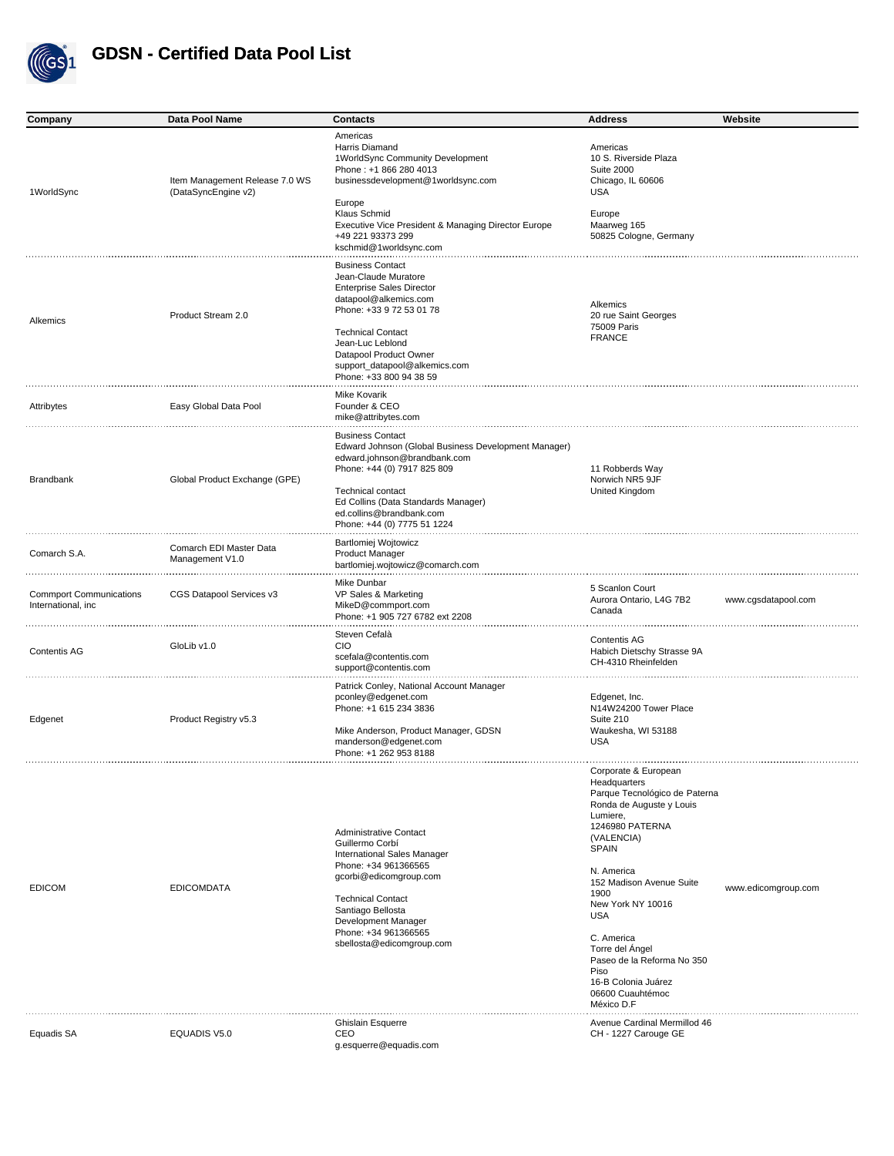

| Company                                              | Data Pool Name                                        | <b>Contacts</b>                                                                                                                                                                                                                                                                | <b>Address</b>                                                                                                                                                                                                                                                                                                                                                                             | Website             |
|------------------------------------------------------|-------------------------------------------------------|--------------------------------------------------------------------------------------------------------------------------------------------------------------------------------------------------------------------------------------------------------------------------------|--------------------------------------------------------------------------------------------------------------------------------------------------------------------------------------------------------------------------------------------------------------------------------------------------------------------------------------------------------------------------------------------|---------------------|
| 1WorldSync                                           | Item Management Release 7.0 WS<br>(DataSyncEngine v2) | Americas<br>Harris Diamand<br>1WorldSync Community Development<br>Phone: +1 866 280 4013<br>businessdevelopment@1worldsync.com<br>Europe<br>Klaus Schmid<br>Executive Vice President & Managing Director Europe<br>+49 221 93373 299<br>kschmid@1worldsync.com                 | Americas<br>10 S. Riverside Plaza<br><b>Suite 2000</b><br>Chicago, IL 60606<br><b>USA</b><br>Europe<br>Maarweg 165<br>50825 Cologne, Germany                                                                                                                                                                                                                                               |                     |
| Alkemics                                             | Product Stream 2.0                                    | <b>Business Contact</b><br>Jean-Claude Muratore<br><b>Enterprise Sales Director</b><br>datapool@alkemics.com<br>Phone: +33 9 72 53 01 78<br><b>Technical Contact</b><br>Jean-Luc Leblond<br>Datapool Product Owner<br>support_datapool@alkemics.com<br>Phone: +33 800 94 38 59 | Alkemics<br>20 rue Saint Georges<br>75009 Paris<br><b>FRANCE</b>                                                                                                                                                                                                                                                                                                                           |                     |
| Attribytes                                           | Easy Global Data Pool                                 | Mike Kovarik<br>Founder & CEO<br>mike@attribytes.com                                                                                                                                                                                                                           |                                                                                                                                                                                                                                                                                                                                                                                            |                     |
| Brandbank                                            | Global Product Exchange (GPE)                         | <b>Business Contact</b><br>Edward Johnson (Global Business Development Manager)<br>edward.johnson@brandbank.com<br>Phone: +44 (0) 7917 825 809<br>Technical contact<br>Ed Collins (Data Standards Manager)<br>ed.collins@brandbank.com<br>Phone: +44 (0) 7775 51 1224          | 11 Robberds Way<br>Norwich NR5 9JF<br>United Kingdom                                                                                                                                                                                                                                                                                                                                       |                     |
| Comarch S.A.                                         | Comarch EDI Master Data<br>Management V1.0            | Bartlomiej Wojtowicz<br><b>Product Manager</b><br>bartlomiej.wojtowicz@comarch.com                                                                                                                                                                                             |                                                                                                                                                                                                                                                                                                                                                                                            |                     |
| <b>Commport Communications</b><br>International, inc | CGS Datapool Services v3                              | Mike Dunbar<br>VP Sales & Marketing<br>MikeD@commport.com<br>Phone: +1 905 727 6782 ext 2208                                                                                                                                                                                   | 5 Scanlon Court<br>Aurora Ontario, L4G 7B2<br>Canada                                                                                                                                                                                                                                                                                                                                       | www.cgsdatapool.com |
| Contentis AG                                         | GloLib v1.0                                           | Steven Cefalà<br><b>CIO</b><br>scefala@contentis.com<br>support@contentis.com                                                                                                                                                                                                  | Contentis AG<br>Habich Dietschy Strasse 9A<br>CH-4310 Rheinfelden                                                                                                                                                                                                                                                                                                                          |                     |
| Edgenet                                              | Product Registry v5.3                                 | Patrick Conley, National Account Manager<br>pconley@edgenet.com<br>Phone: +1 615 234 3836<br>Mike Anderson, Product Manager, GDSN<br>manderson@edgenet.com<br>Phone: +1 262 953 8188                                                                                           | Edgenet, Inc.<br>N14W24200 Tower Place<br>Suite 210<br>Waukesha, WI 53188<br><b>USA</b>                                                                                                                                                                                                                                                                                                    |                     |
| <b>EDICOM</b>                                        | <b>EDICOMDATA</b>                                     | <b>Administrative Contact</b><br>Guillermo Corbí<br><b>International Sales Manager</b><br>Phone: +34 961366565<br>gcorbi@edicomgroup.com<br><b>Technical Contact</b><br>Santiago Bellosta<br>Development Manager<br>Phone: +34 961366565<br>sbellosta@edicomgroup.com          | Corporate & European<br>Headquarters<br>Parque Tecnológico de Paterna<br>Ronda de Auguste y Louis<br>Lumiere,<br><b>1246980 PATERNA</b><br>(VALENCIA)<br><b>SPAIN</b><br>N. America<br>152 Madison Avenue Suite<br>1900<br>New York NY 10016<br><b>USA</b><br>C. America<br>Torre del Ángel<br>Paseo de la Reforma No 350<br>Piso<br>16-B Colonia Juárez<br>06600 Cuauhtémoc<br>México D.F | www.edicomgroup.com |
| Equadis SA                                           | EQUADIS V5.0                                          | Ghislain Esquerre<br>CEO<br>g.esquerre@equadis.com                                                                                                                                                                                                                             | Avenue Cardinal Mermillod 46<br>CH - 1227 Carouge GE                                                                                                                                                                                                                                                                                                                                       |                     |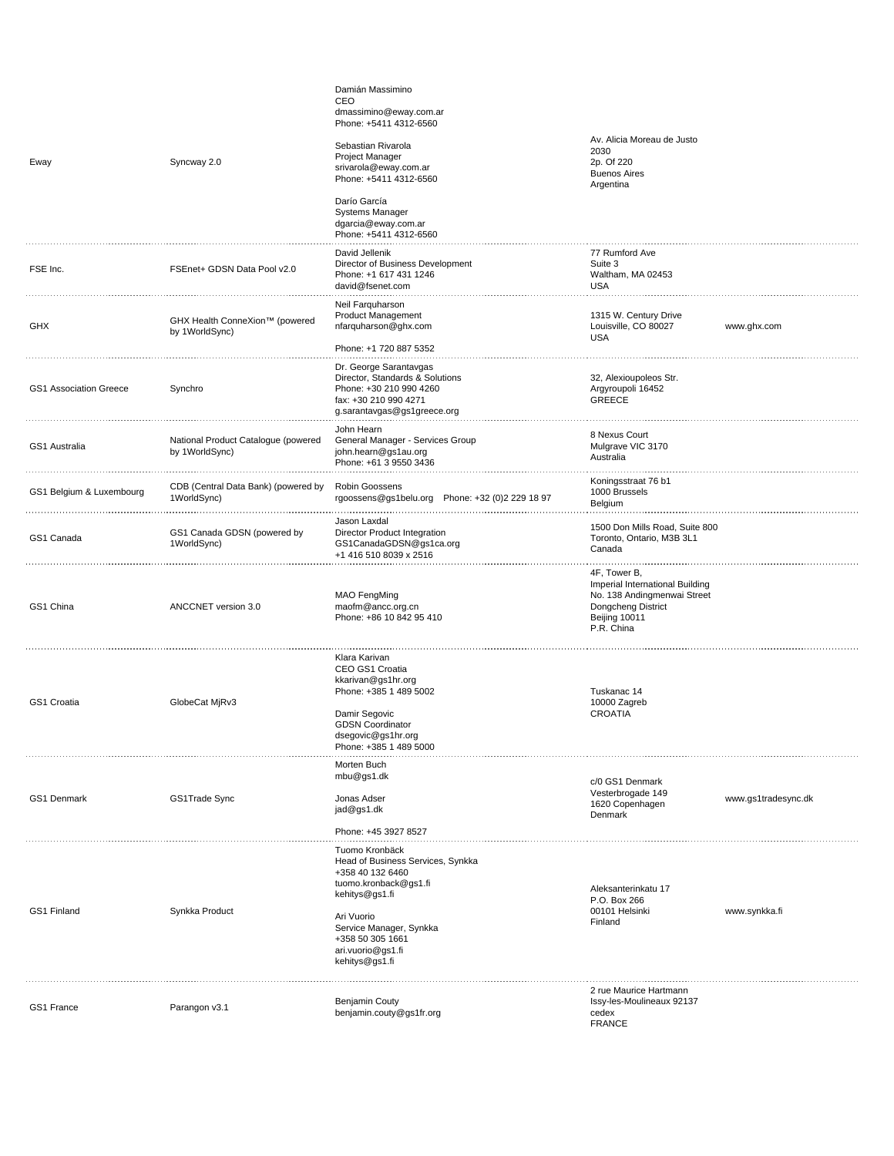| Eway                          | Syncway 2.0                                           | Damián Massimino<br>CEO<br>dmassimino@eway.com.ar<br>Phone: +5411 4312-6560<br>Sebastian Rivarola<br>Project Manager<br>srivarola@eway.com.ar<br>Phone: +5411 4312-6560<br>Darío García                                | Av. Alicia Moreau de Justo<br>2030<br>2p. Of 220<br><b>Buenos Aires</b><br>Argentina                                                |                     |
|-------------------------------|-------------------------------------------------------|------------------------------------------------------------------------------------------------------------------------------------------------------------------------------------------------------------------------|-------------------------------------------------------------------------------------------------------------------------------------|---------------------|
|                               |                                                       | <b>Systems Manager</b><br>dgarcia@eway.com.ar<br>Phone: +5411 4312-6560                                                                                                                                                |                                                                                                                                     |                     |
| FSE Inc.                      | FSEnet+ GDSN Data Pool v2.0                           | David Jellenik<br>Director of Business Development<br>Phone: +1 617 431 1246<br>david@fsenet.com                                                                                                                       | 77 Rumford Ave<br>Suite 3<br>Waltham, MA 02453<br><b>USA</b>                                                                        |                     |
| GHX                           | GHX Health ConneXion™ (powered<br>by 1WorldSync)      | Neil Farquharson<br>Product Management<br>nfarquharson@ghx.com<br>Phone: +1 720 887 5352                                                                                                                               | 1315 W. Century Drive<br>Louisville, CO 80027<br><b>USA</b>                                                                         | www.ghx.com         |
| <b>GS1 Association Greece</b> | Synchro                                               | Dr. George Sarantavgas<br>Director, Standards & Solutions<br>Phone: +30 210 990 4260<br>fax: +30 210 990 4271<br>g.sarantavgas@gs1greece.org                                                                           | 32, Alexioupoleos Str.<br>Argyroupoli 16452<br><b>GREECE</b>                                                                        |                     |
| GS1 Australia                 | National Product Catalogue (powered<br>by 1WorldSync) | John Hearn<br>General Manager - Services Group<br>john.hearn@gs1au.org<br>Phone: +61 3 9550 3436                                                                                                                       | 8 Nexus Court<br>Mulgrave VIC 3170<br>Australia                                                                                     |                     |
| GS1 Belgium & Luxembourg      | CDB (Central Data Bank) (powered by<br>1WorldSync)    | Robin Goossens<br>rgoossens@gs1belu.org Phone: +32 (0)2 229 18 97                                                                                                                                                      | Koningsstraat 76 b1<br>1000 Brussels<br>Belgium                                                                                     |                     |
| GS1 Canada                    | GS1 Canada GDSN (powered by<br>1WorldSync)            | Jason Laxdal<br>Director Product Integration<br>GS1CanadaGDSN@gs1ca.org<br>+1 416 510 8039 x 2516                                                                                                                      | 1500 Don Mills Road, Suite 800<br>Toronto, Ontario, M3B 3L1<br>Canada                                                               |                     |
| GS1 China                     | ANCCNET version 3.0                                   | <b>MAO</b> FengMing<br>maofm@ancc.org.cn<br>Phone: +86 10 842 95 410                                                                                                                                                   | 4F, Tower B,<br>Imperial International Building<br>No. 138 Andingmenwai Street<br>Dongcheng District<br>Beijing 10011<br>P.R. China |                     |
| GS1 Croatia                   | GlobeCat MjRv3                                        | Klara Karivan<br>CEO GS1 Croatia<br>kkarivan@gs1hr.org<br>Phone: +385 1 489 5002<br>Damir Segovic<br><b>GDSN Coordinator</b><br>dsegovic@gs1hr.org<br>Phone: +385 1 489 5000                                           | Tuskanac 14<br>10000 Zagreb<br><b>CROATIA</b>                                                                                       |                     |
| GS1 Denmark                   | GS1Trade Sync                                         | Morten Buch<br>mbu@gs1.dk<br>Jonas Adser<br>jad@gs1.dk<br>Phone: +45 3927 8527                                                                                                                                         | c/0 GS1 Denmark<br>Vesterbrogade 149<br>1620 Copenhagen<br>Denmark                                                                  | www.gs1tradesync.dk |
| GS1 Finland                   | Synkka Product                                        | Tuomo Kronbäck<br>Head of Business Services, Synkka<br>+358 40 132 6460<br>tuomo.kronback@gs1.fi<br>kehitys@gs1.fi<br>Ari Vuorio<br>Service Manager, Synkka<br>+358 50 305 1661<br>ari.vuorio@gs1.fi<br>kehitys@gs1.fi | Aleksanterinkatu 17<br>P.O. Box 266<br>00101 Helsinki<br>Finland                                                                    | www.synkka.fi       |
|                               |                                                       |                                                                                                                                                                                                                        | 2 rue Maurice Hartmann                                                                                                              |                     |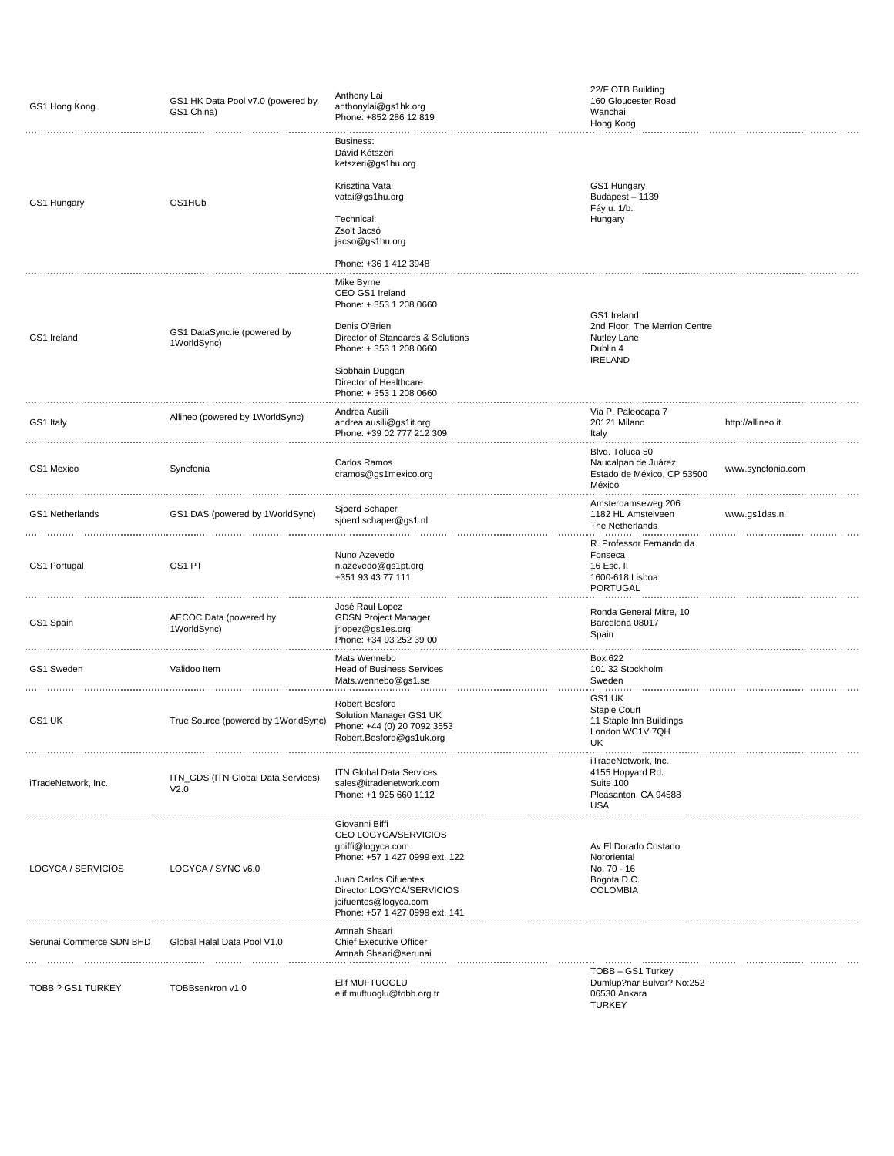| GS1 Hong Kong            | GS1 HK Data Pool v7.0 (powered by<br>GS1 China) | Anthony Lai<br>anthonylai@gs1hk.org<br>Phone: +852 286 12 819<br>.                                                                                                                                             | 22/F OTB Building<br>160 Gloucester Road<br>Wanchai<br>Hong Kong                           |                   |
|--------------------------|-------------------------------------------------|----------------------------------------------------------------------------------------------------------------------------------------------------------------------------------------------------------------|--------------------------------------------------------------------------------------------|-------------------|
| GS1 Hungary              | GS1HUb                                          | Business:<br>Dávid Kétszeri<br>ketszeri@gs1hu.org<br>Krisztina Vatai<br>vatai@gs1hu.org<br>Technical:<br>Zsolt Jacsó<br>jacso@gs1hu.org                                                                        | GS1 Hungary<br>Budapest-1139<br>Fáy u. 1/b.<br>Hungary                                     |                   |
|                          |                                                 | Phone: +36 1 412 3948                                                                                                                                                                                          |                                                                                            |                   |
| GS1 Ireland              | GS1 DataSync.ie (powered by<br>1WorldSync)      | Mike Byrne<br>CEO GS1 Ireland<br>Phone: +353 1 208 0660<br>Denis O'Brien<br>Director of Standards & Solutions<br>Phone: +353 1 208 0660                                                                        | GS1 Ireland<br>2nd Floor, The Merrion Centre<br>Nutley Lane<br>Dublin 4<br><b>IRELAND</b>  |                   |
|                          |                                                 | Siobhain Duggan<br>Director of Healthcare<br>Phone: +353 1 208 0660                                                                                                                                            |                                                                                            |                   |
| GS1 Italy                | Allineo (powered by 1WorldSync)                 | Andrea Ausili<br>andrea.ausili@gs1it.org<br>Phone: +39 02 777 212 309                                                                                                                                          | Via P. Paleocapa 7<br>20121 Milano<br>Italy                                                | http://allineo.it |
| GS1 Mexico               | Syncfonia                                       | Carlos Ramos<br>cramos@gs1mexico.org                                                                                                                                                                           | Blvd. Toluca 50<br>Naucalpan de Juárez<br>Estado de México, CP 53500<br>México<br>.        | www.syncfonia.com |
| GS1 Netherlands          | GS1 DAS (powered by 1WorldSync)                 | Sjoerd Schaper<br>sjoerd.schaper@gs1.nl                                                                                                                                                                        | Amsterdamseweg 206<br>1182 HL Amstelveen<br>The Netherlands                                | www.gs1das.nl     |
| GS1 Portugal             | GS1 PT                                          | Nuno Azevedo<br>n.azevedo@gs1pt.org<br>+351 93 43 77 111                                                                                                                                                       | R. Professor Fernando da<br>Fonseca<br>16 Esc. II<br>1600-618 Lisboa<br>PORTUGAL           |                   |
| GS1 Spain                | AECOC Data (powered by<br>1WorldSync)           | José Raul Lopez<br><b>GDSN Project Manager</b><br>jrlopez@gs1es.org<br>Phone: +34 93 252 39 00                                                                                                                 | Ronda General Mitre, 10<br>Barcelona 08017<br>Spain                                        |                   |
| GS1 Sweden               | Validoo Item                                    | Mats Wennebo<br><b>Head of Business Services</b><br>Mats.wennebo@gs1.se                                                                                                                                        | Box 622<br>101 32 Stockholm<br>Sweden                                                      |                   |
| GS1 UK                   | True Source (powered by 1WorldSync)             | Robert Besford<br>Solution Manager GS1 UK<br>Phone: +44 (0) 20 7092 3553<br>Robert.Besford@gs1uk.org                                                                                                           | GS1 UK<br>Staple Court<br>11 Staple Inn Buildings<br>London WC1V 7QH<br>UK                 |                   |
| iTradeNetwork, Inc.      | ITN_GDS (ITN Global Data Services)<br>V2.0      | <b>ITN Global Data Services</b><br>sales@itradenetwork.com<br>Phone: +1 925 660 1112                                                                                                                           | iTradeNetwork, Inc.<br>4155 Hopyard Rd.<br>Suite 100<br>Pleasanton, CA 94588<br><b>USA</b> |                   |
| LOGYCA / SERVICIOS       | LOGYCA / SYNC v6.0                              | Giovanni Biffi<br>CEO LOGYCA/SERVICIOS<br>gbiffi@logyca.com<br>Phone: +57 1 427 0999 ext. 122<br>Juan Carlos Cifuentes<br>Director LOGYCA/SERVICIOS<br>jcifuentes@logyca.com<br>Phone: +57 1 427 0999 ext. 141 | Av El Dorado Costado<br>Nororiental<br>No. 70 - 16<br>Bogota D.C.<br><b>COLOMBIA</b>       |                   |
| Serunai Commerce SDN BHD | Global Halal Data Pool V1.0                     | Amnah Shaari<br><b>Chief Executive Officer</b><br>Amnah.Shaari@serunai                                                                                                                                         |                                                                                            |                   |
| TOBB ? GS1 TURKEY        | TOBBsenkron v1.0                                | Elif MUFTUOGLU<br>elif.muftuoglu@tobb.org.tr                                                                                                                                                                   | TOBB - GS1 Turkey<br>Dumlup?nar Bulvar? No:252<br>06530 Ankara<br><b>TURKEY</b>            |                   |